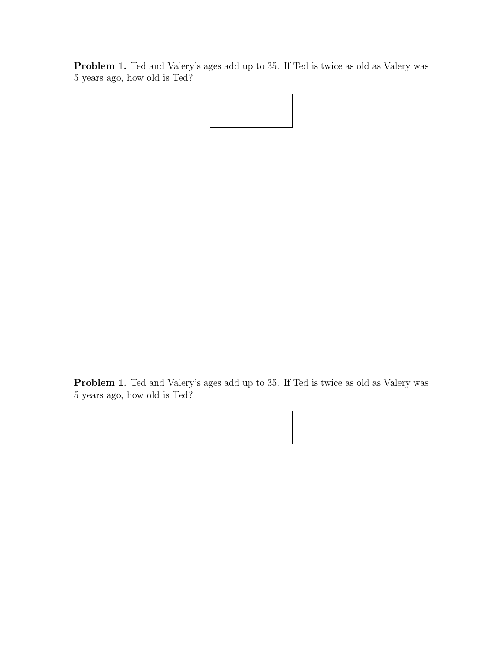Problem 1. Ted and Valery's ages add up to 35. If Ted is twice as old as Valery was 5 years ago, how old is Ted?

Problem 1. Ted and Valery's ages add up to 35. If Ted is twice as old as Valery was 5 years ago, how old is Ted?

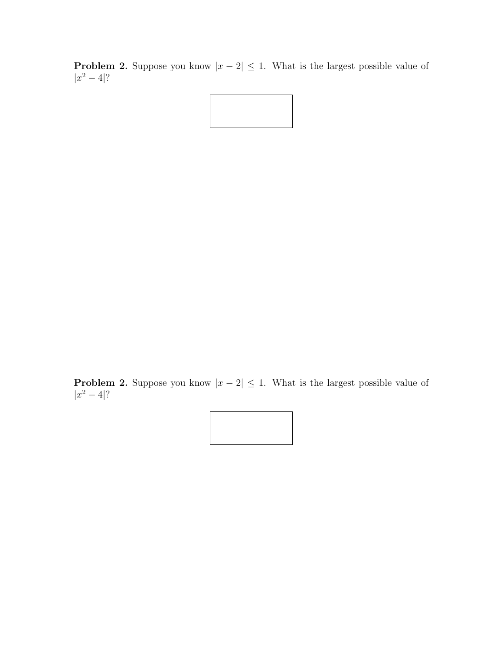**Problem 2.** Suppose you know  $|x-2| \leq 1$ . What is the largest possible value of  $|x^2-4|$ ?



**Problem 2.** Suppose you know  $|x-2| \leq 1$ . What is the largest possible value of  $|x^2-4|$ ?

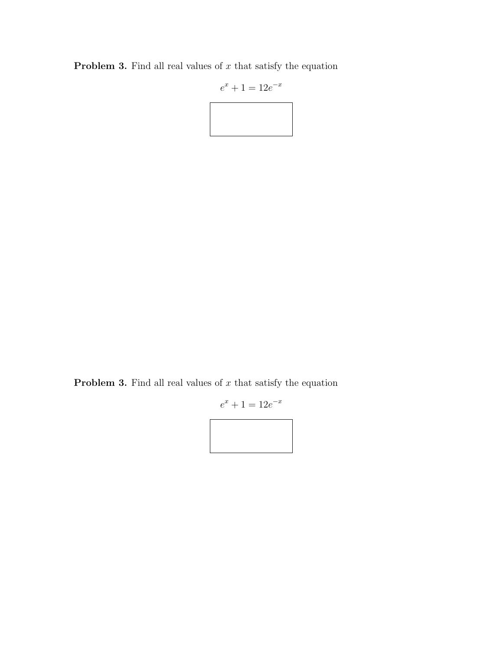**Problem 3.** Find all real values of  $x$  that satisfy the equation

$$
e^x + 1 = 12e^{-x}
$$

**Problem 3.** Find all real values of  $x$  that satisfy the equation

$$
e^x + 1 = 12e^{-x}
$$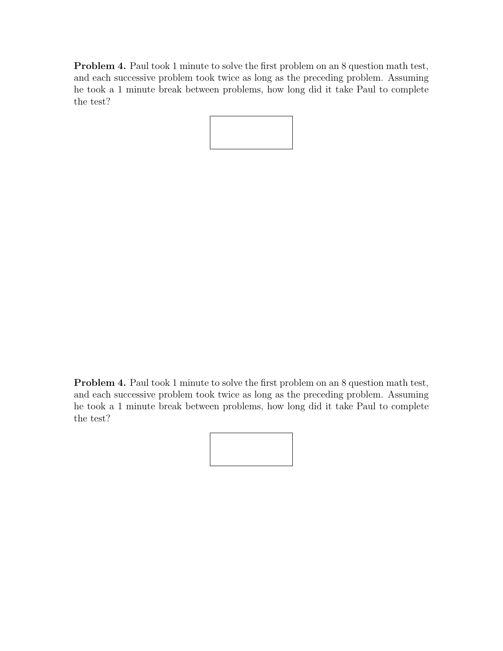Problem 4. Paul took 1 minute to solve the first problem on an 8 question math test, and each successive problem took twice as long as the preceding problem. Assuming he took a 1 minute break between problems, how long did it take Paul to complete the test?

Problem 4. Paul took 1 minute to solve the first problem on an 8 question math test, and each successive problem took twice as long as the preceding problem. Assuming he took a 1 minute break between problems, how long did it take Paul to complete the test?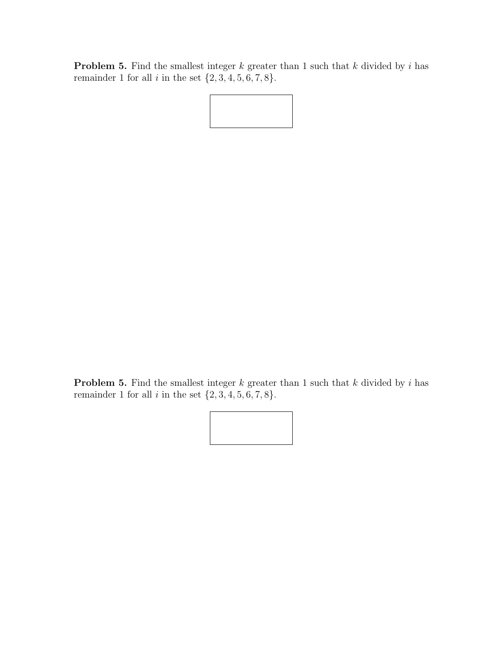**Problem 5.** Find the smallest integer  $k$  greater than 1 such that  $k$  divided by  $i$  has remainder 1 for all  $i$  in the set  $\{2, 3, 4, 5, 6, 7, 8\}$ .

**Problem 5.** Find the smallest integer  $k$  greater than 1 such that  $k$  divided by  $i$  has remainder 1 for all  $i$  in the set  $\{2, 3, 4, 5, 6, 7, 8\}.$ 

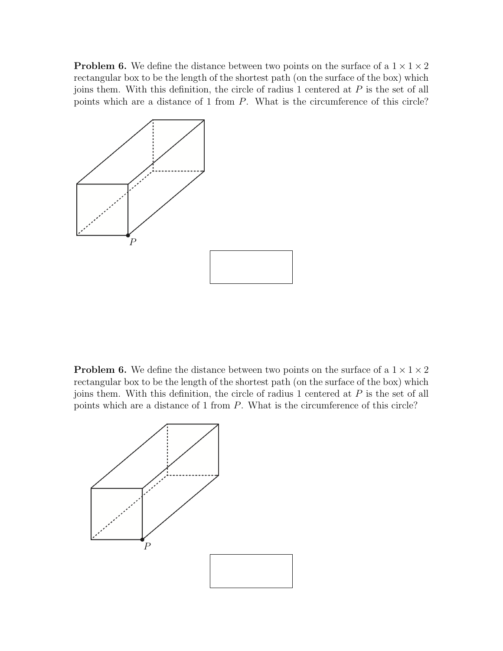**Problem 6.** We define the distance between two points on the surface of a  $1 \times 1 \times 2$ rectangular box to be the length of the shortest path (on the surface of the box) which joins them. With this definition, the circle of radius 1 centered at P is the set of all points which are a distance of 1 from P. What is the circumference of this circle?



**Problem 6.** We define the distance between two points on the surface of a  $1 \times 1 \times 2$ rectangular box to be the length of the shortest path (on the surface of the box) which joins them. With this definition, the circle of radius  $1$  centered at  $P$  is the set of all points which are a distance of 1 from P. What is the circumference of this circle?

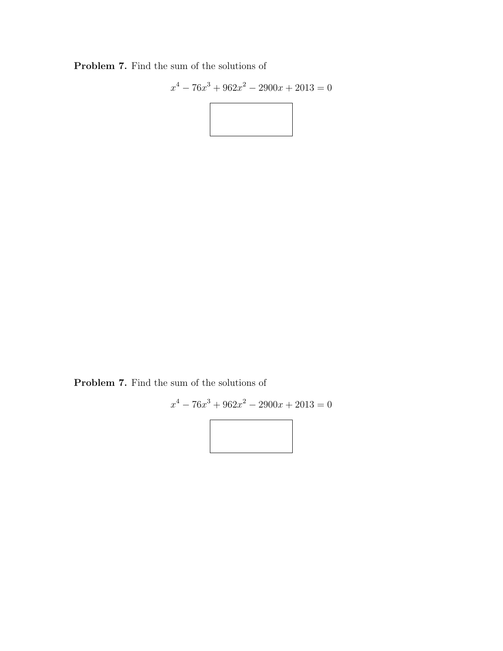Problem 7. Find the sum of the solutions of

$$
x^{4} - 76x^{3} + 962x^{2} - 2900x + 2013 = 0
$$

Problem 7. Find the sum of the solutions of

$$
x^{4} - 76x^{3} + 962x^{2} - 2900x + 2013 = 0
$$

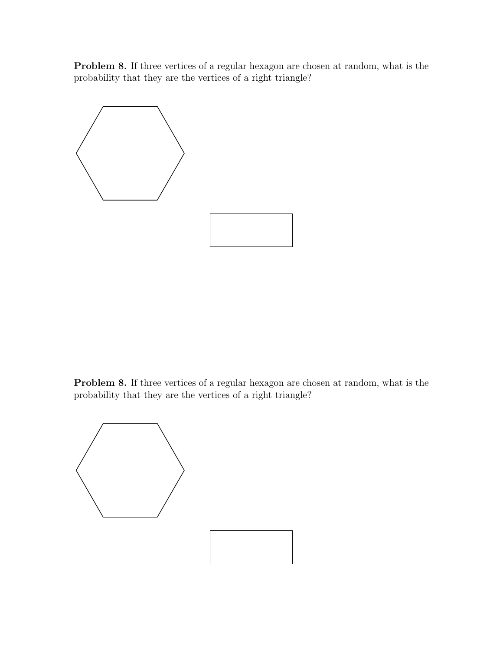Problem 8. If three vertices of a regular hexagon are chosen at random, what is the probability that they are the vertices of a right triangle?



Problem 8. If three vertices of a regular hexagon are chosen at random, what is the probability that they are the vertices of a right triangle?

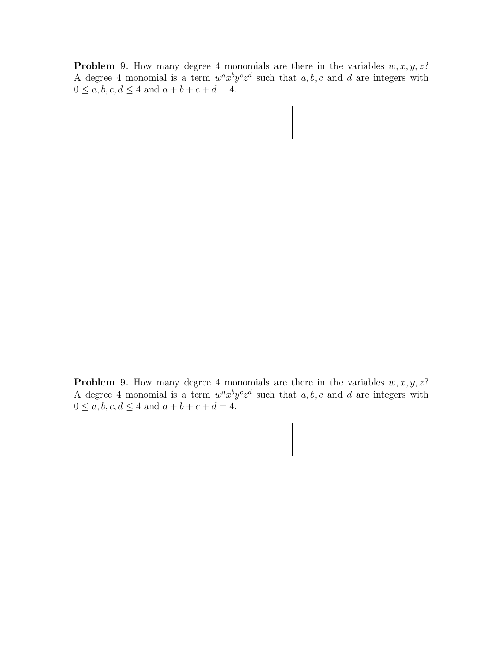**Problem 9.** How many degree 4 monomials are there in the variables  $w, x, y, z$ ? A degree 4 monomial is a term  $w^a x^b y^c z^d$  such that  $a, b, c$  and  $d$  are integers with  $0 \le a, b, c, d \le 4$  and  $a + b + c + d = 4$ .



**Problem 9.** How many degree 4 monomials are there in the variables  $w, x, y, z$ ? A degree 4 monomial is a term  $w^a x^b y^c z^d$  such that  $a, b, c$  and  $d$  are integers with  $0 \le a, b, c, d \le 4$  and  $a + b + c + d = 4$ .